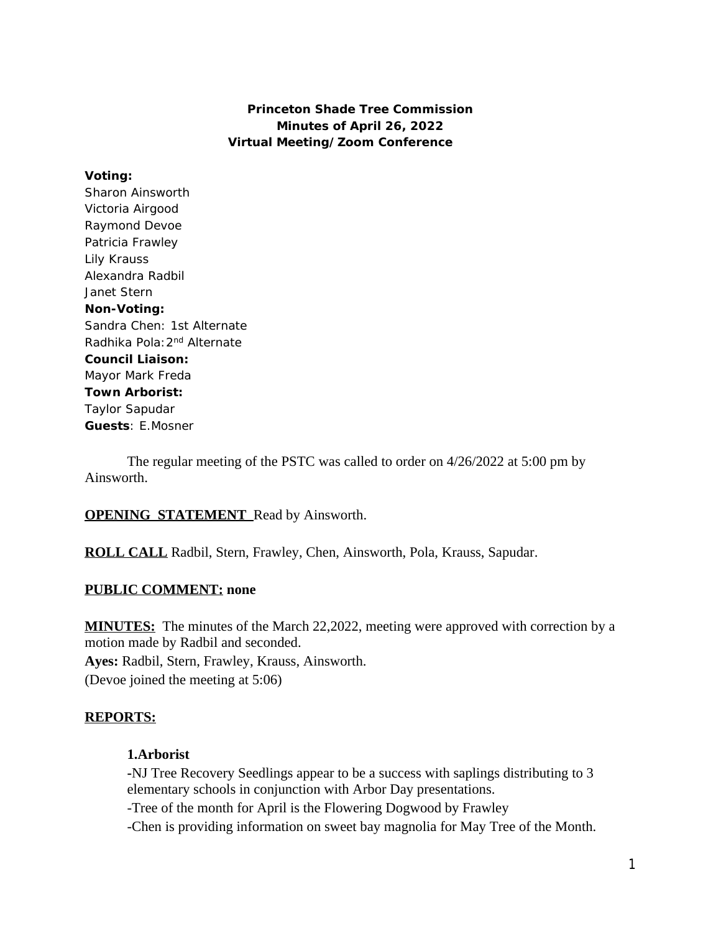### **Princeton Shade Tree Commission Minutes of April 26, 2022 Virtual Meeting/Zoom Conference**

### **Voting:**

Sharon Ainsworth Victoria Airgood Raymond Devoe Patricia Frawley Lily Krauss Alexandra Radbil Janet Stern **Non-Voting:** Sandra Chen: 1st Alternate Radhika Pola: 2<sup>nd</sup> Alternate **Council Liaison:** Mayor Mark Freda **Town Arborist:** Taylor Sapudar **Guests**: E.Mosner

The regular meeting of the PSTC was called to order on 4/26/2022 at 5:00 pm by Ainsworth.

# **OPENING STATEMENT** Read by Ainsworth.

**ROLL CALL** Radbil, Stern, Frawley, Chen, Ainsworth, Pola, Krauss, Sapudar.

# **PUBLIC COMMENT: none**

**MINUTES:** The minutes of the March 22,2022, meeting were approved with correction by a motion made by Radbil and seconded. **Ayes:** Radbil, Stern, Frawley, Krauss, Ainsworth. (Devoe joined the meeting at 5:06)

# **REPORTS:**

# **1.Arborist**

**-**NJ Tree Recovery Seedlings appear to be a success with saplings distributing to 3 elementary schools in conjunction with Arbor Day presentations.

-Tree of the month for April is the Flowering Dogwood by Frawley

-Chen is providing information on sweet bay magnolia for May Tree of the Month.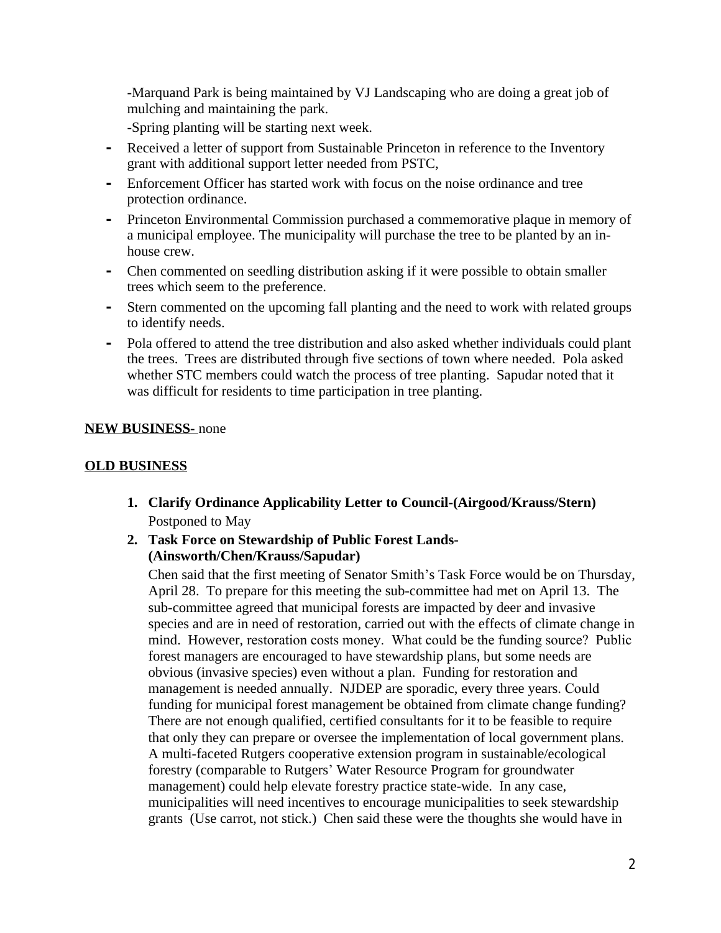-Marquand Park is being maintained by VJ Landscaping who are doing a great job of mulching and maintaining the park.

-Spring planting will be starting next week.

- **-** Received a letter of support from Sustainable Princeton in reference to the Inventory grant with additional support letter needed from PSTC,
- **-** Enforcement Officer has started work with focus on the noise ordinance and tree protection ordinance.
- **-** Princeton Environmental Commission purchased a commemorative plaque in memory of a municipal employee. The municipality will purchase the tree to be planted by an inhouse crew.
- **-** Chen commented on seedling distribution asking if it were possible to obtain smaller trees which seem to the preference.
- **-** Stern commented on the upcoming fall planting and the need to work with related groups to identify needs.
- **-** Pola offered to attend the tree distribution and also asked whether individuals could plant the trees. Trees are distributed through five sections of town where needed. Pola asked whether STC members could watch the process of tree planting. Sapudar noted that it was difficult for residents to time participation in tree planting.

# **NEW BUSINESS-** none

### **OLD BUSINESS**

- **1. Clarify Ordinance Applicability Letter to Council-(Airgood/Krauss/Stern)** Postponed to May
- **2. Task Force on Stewardship of Public Forest Lands- (Ainsworth/Chen/Krauss/Sapudar)**

Chen said that the first meeting of Senator Smith's Task Force would be on Thursday, April 28. To prepare for this meeting the sub-committee had met on April 13. The sub-committee agreed that municipal forests are impacted by deer and invasive species and are in need of restoration, carried out with the effects of climate change in mind. However, restoration costs money. What could be the funding source? Public forest managers are encouraged to have stewardship plans, but some needs are obvious (invasive species) even without a plan. Funding for restoration and management is needed annually. NJDEP are sporadic, every three years. Could funding for municipal forest management be obtained from climate change funding? There are not enough qualified, certified consultants for it to be feasible to require that only they can prepare or oversee the implementation of local government plans. A multi-faceted Rutgers cooperative extension program in sustainable/ecological forestry (comparable to Rutgers' Water Resource Program for groundwater management) could help elevate forestry practice state-wide. In any case, municipalities will need incentives to encourage municipalities to seek stewardship grants (Use carrot, not stick.) Chen said these were the thoughts she would have in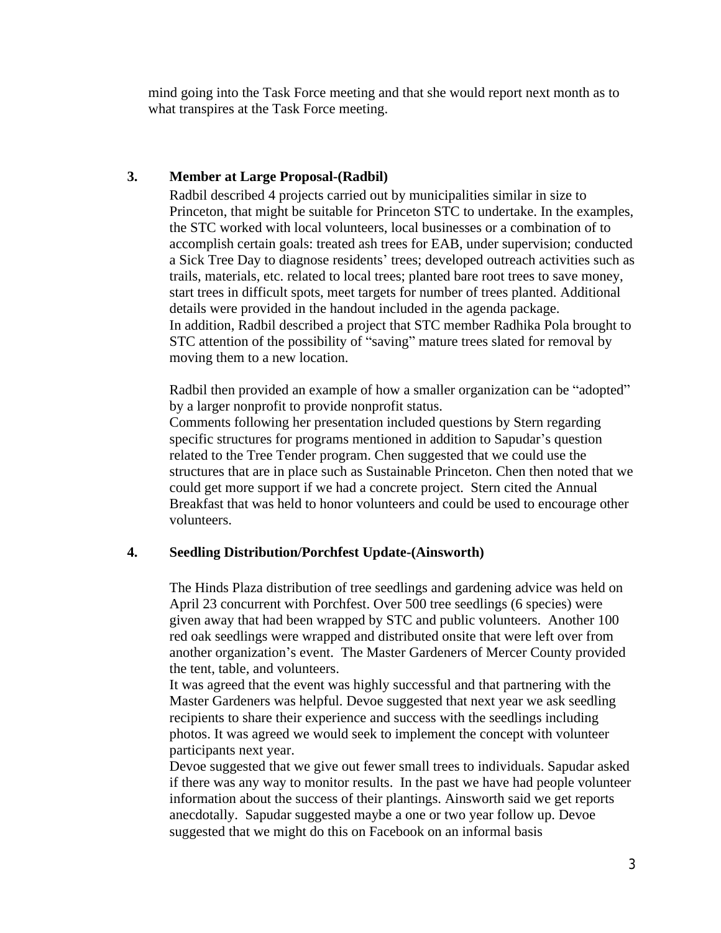mind going into the Task Force meeting and that she would report next month as to what transpires at the Task Force meeting.

### **3. Member at Large Proposal-(Radbil)**

Radbil described 4 projects carried out by municipalities similar in size to Princeton, that might be suitable for Princeton STC to undertake. In the examples, the STC worked with local volunteers, local businesses or a combination of to accomplish certain goals: treated ash trees for EAB, under supervision; conducted a Sick Tree Day to diagnose residents' trees; developed outreach activities such as trails, materials, etc. related to local trees; planted bare root trees to save money, start trees in difficult spots, meet targets for number of trees planted. Additional details were provided in the handout included in the agenda package. In addition, Radbil described a project that STC member Radhika Pola brought to STC attention of the possibility of "saving" mature trees slated for removal by moving them to a new location.

Radbil then provided an example of how a smaller organization can be "adopted" by a larger nonprofit to provide nonprofit status.

Comments following her presentation included questions by Stern regarding specific structures for programs mentioned in addition to Sapudar's question related to the Tree Tender program. Chen suggested that we could use the structures that are in place such as Sustainable Princeton. Chen then noted that we could get more support if we had a concrete project. Stern cited the Annual Breakfast that was held to honor volunteers and could be used to encourage other volunteers.

# **4. Seedling Distribution/Porchfest Update-(Ainsworth)**

The Hinds Plaza distribution of tree seedlings and gardening advice was held on April 23 concurrent with Porchfest. Over 500 tree seedlings (6 species) were given away that had been wrapped by STC and public volunteers. Another 100 red oak seedlings were wrapped and distributed onsite that were left over from another organization's event. The Master Gardeners of Mercer County provided the tent, table, and volunteers.

It was agreed that the event was highly successful and that partnering with the Master Gardeners was helpful. Devoe suggested that next year we ask seedling recipients to share their experience and success with the seedlings including photos. It was agreed we would seek to implement the concept with volunteer participants next year.

Devoe suggested that we give out fewer small trees to individuals. Sapudar asked if there was any way to monitor results. In the past we have had people volunteer information about the success of their plantings. Ainsworth said we get reports anecdotally. Sapudar suggested maybe a one or two year follow up. Devoe suggested that we might do this on Facebook on an informal basis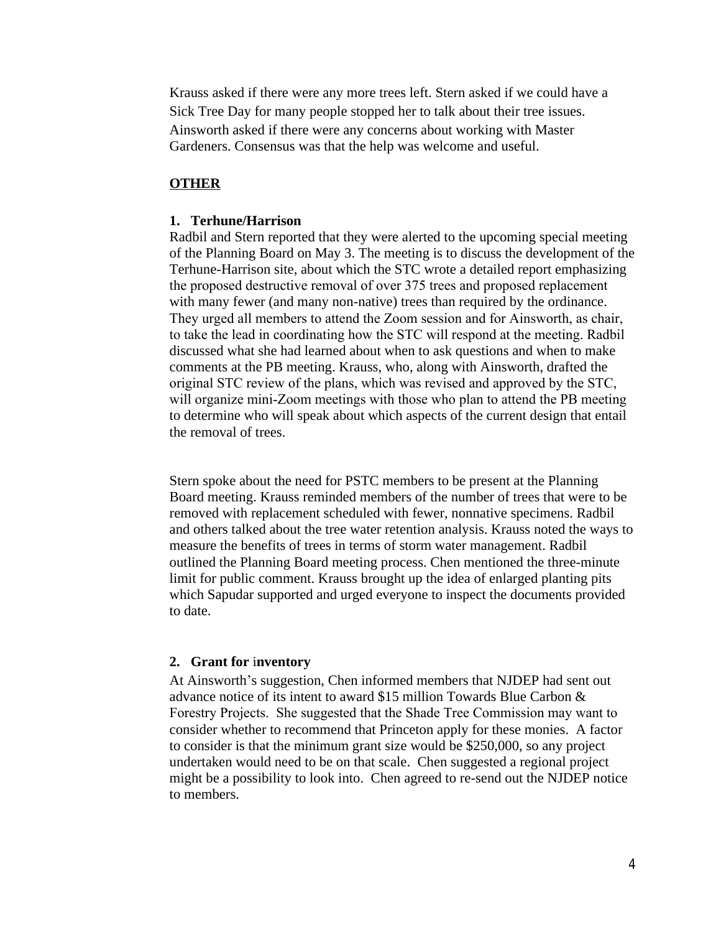Krauss asked if there were any more trees left. Stern asked if we could have a Sick Tree Day for many people stopped her to talk about their tree issues. Ainsworth asked if there were any concerns about working with Master Gardeners. Consensus was that the help was welcome and useful.

### **OTHER**

#### **1. Terhune/Harrison**

Radbil and Stern reported that they were alerted to the upcoming special meeting of the Planning Board on May 3. The meeting is to discuss the development of the Terhune-Harrison site, about which the STC wrote a detailed report emphasizing the proposed destructive removal of over 375 trees and proposed replacement with many fewer (and many non-native) trees than required by the ordinance. They urged all members to attend the Zoom session and for Ainsworth, as chair, to take the lead in coordinating how the STC will respond at the meeting. Radbil discussed what she had learned about when to ask questions and when to make comments at the PB meeting. Krauss, who, along with Ainsworth, drafted the original STC review of the plans, which was revised and approved by the STC, will organize mini-Zoom meetings with those who plan to attend the PB meeting to determine who will speak about which aspects of the current design that entail the removal of trees.

Stern spoke about the need for PSTC members to be present at the Planning Board meeting. Krauss reminded members of the number of trees that were to be removed with replacement scheduled with fewer, nonnative specimens. Radbil and others talked about the tree water retention analysis. Krauss noted the ways to measure the benefits of trees in terms of storm water management. Radbil outlined the Planning Board meeting process. Chen mentioned the three-minute limit for public comment. Krauss brought up the idea of enlarged planting pits which Sapudar supported and urged everyone to inspect the documents provided to date.

#### **2. Grant for** i**nventory**

At Ainsworth's suggestion, Chen informed members that NJDEP had sent out advance notice of its intent to award \$15 million Towards Blue Carbon & Forestry Projects. She suggested that the Shade Tree Commission may want to consider whether to recommend that Princeton apply for these monies. A factor to consider is that the minimum grant size would be \$250,000, so any project undertaken would need to be on that scale. Chen suggested a regional project might be a possibility to look into. Chen agreed to re-send out the NJDEP notice to members.